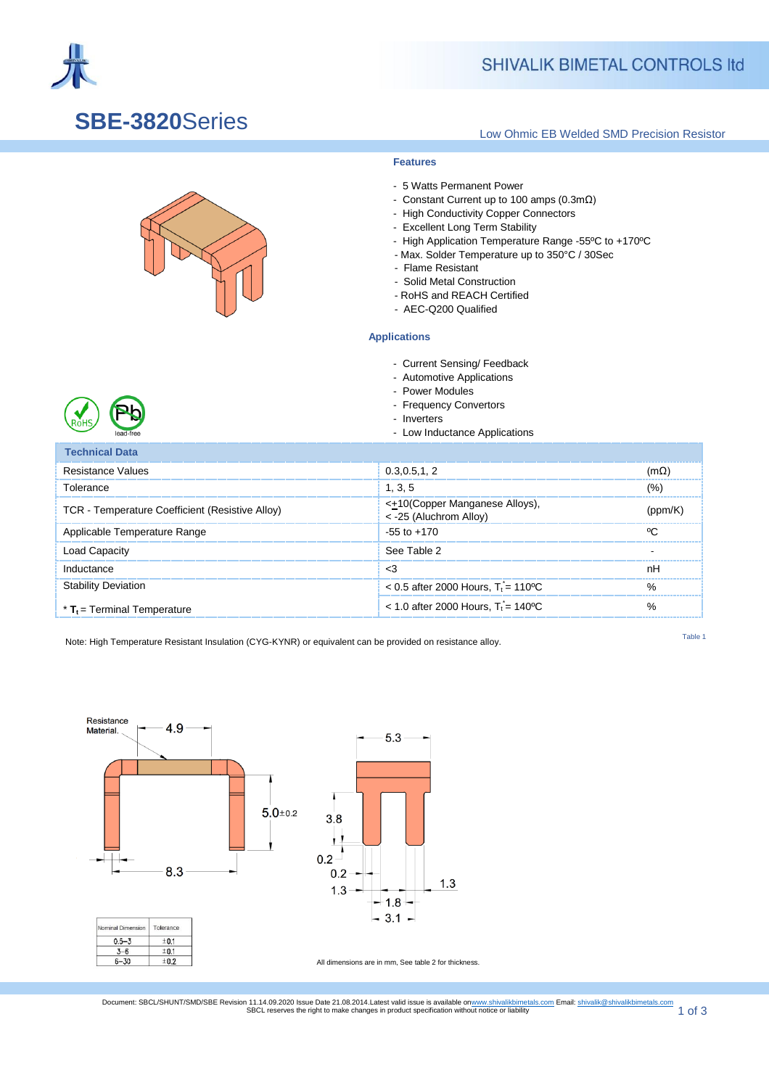

### **SHIVALIK BIMETAL CONTROLS Itd**

### **SBE-3820**Series

#### Low Ohmic EB Welded SMD Precision Resistor

#### **Features**

- 5 Watts Permanent Power
- Constant Current up to 100 amps (0.3mΩ)
- High Conductivity Copper Connectors
- Excellent Long Term Stability
- High Application Temperature Range -55ºC to +170ºC
- Max. Solder Temperature up to 350°C / 30Sec
- Flame Resistant
- Solid Metal Construction
- RoHS and REACH Certified
- AEC-Q200 Qualified

#### ] **Applications**

- Current Sensing/ Feedback
- Automotive Applications
- Power Modules
- Frequency Convertors
- Inverters
- Low Inductance Applications

| Technical Data                                  |                                                                         |                |
|-------------------------------------------------|-------------------------------------------------------------------------|----------------|
| Resistance Values                               | 0.3.0.5.1.2                                                             | mO             |
| Tolerance                                       | 1, 3, 5                                                                 | $\frac{10}{6}$ |
| TCR - Temperature Coefficient (Resistive Alloy) | < <del>±</del> 10(Copper Manganese Alloys),<br>$<$ -25 (Aluchrom Alloy) |                |
| Applicable Temperature Range                    | $-55$ to $+170$                                                         | $\sim$         |
| Load Capacitv                                   | See Table 2                                                             |                |
| Inductance                                      | 3>                                                                      | nН             |
| <b><i>v</i>bility Deviation</b>                 | $< 0.5$ after 2000 Hours, T <sub>i</sub> = 110 °C                       |                |
| $*$ T <sub>t</sub> = Terminal Temperature       | $<$ 1.0 after 2000 Hours, $T_i = 140^{\circ}$ C                         |                |

Note: High Temperature Resistant Insulation (CYG-KYNR) or equivalent can be provided on resistance alloy.

Table 1



Document: SBCL/SHUNT/SMD/SBE Revision 11.14.09.2020 Issue Date 21.08.2014.Latest valid issue is available o[nwww.shivalikbimetals.com](http://www.shivalikbimetals.com/) Email[: shivalik@shivalikbimetals.com](mailto:smd@shivalikbimetals.com)<br>1 Of 3 1

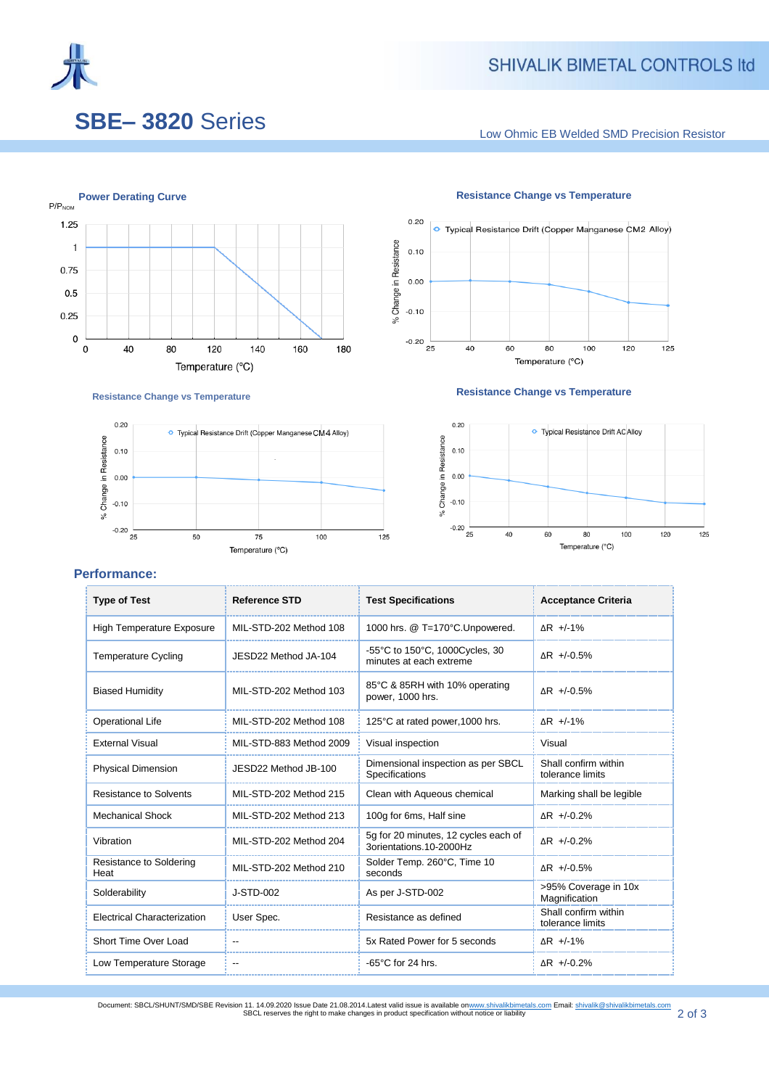

### SHIVALIK BIMETAL CONTROLS Itd

# **SBE– 3820** Series

Low Ohmic EB Welded SMD Precision Resistor



O Typical Resistance Drift (Copper Manganese CM4 Alloy)

75

Temperature (°C)

100

**Resistance Change vs Temperature**

50



#### **Resistance Change vs Temperature**



# **Performance:**

 $0.20$ 

 $0.10$ 

 $0.00$ 

 $-0.10$ 

 $-0.20$   $25$ 

% Change in Resistance

| <b>Type of Test</b>                | <b>Reference STD</b>     | <b>Test Specifications</b>                                      | <b>Acceptance Criteria</b>               |
|------------------------------------|--------------------------|-----------------------------------------------------------------|------------------------------------------|
| <b>High Temperature Exposure</b>   | MIL-STD-202 Method 108   | 1000 hrs. @ T=170°C.Unpowered.                                  | $\Delta$ R +/-1%                         |
| <b>Temperature Cycling</b>         | JFSD22 Method JA-104     | -55°C to 150°C, 1000Cycles, 30<br>minutes at each extreme       | $AR$ +/-0.5%                             |
| <b>Biased Humidity</b>             | MIL-STD-202 Method 103   | 85°C & 85RH with 10% operating<br>power, 1000 hrs.              | $AR$ +/-0.5%                             |
| <b>Operational Life</b>            | MIL-STD-202 Method 108   | 125°C at rated power, 1000 hrs.                                 | $\Delta$ R +/-1%                         |
| <b>External Visual</b>             | MIL-STD-883 Method 2009  | Visual inspection                                               | Visual                                   |
| <b>Physical Dimension</b>          | JESD22 Method JB-100     | Dimensional inspection as per SBCL<br>Specifications            | Shall confirm within<br>tolerance limits |
| Resistance to Solvents             | MIL-STD-202 Method 215   | Clean with Aqueous chemical                                     | Marking shall be legible                 |
| <b>Mechanical Shock</b>            | MIL-STD-202 Method 213   | 100g for 6ms, Half sine                                         | $AR$ +/-0.2%                             |
| Vibration                          | MIL-STD-202 Method 204   | 5q for 20 minutes, 12 cycles each of<br>3orientations.10-2000Hz | $\Delta$ R +/-0.2%                       |
| Resistance to Soldering<br>Heat    | MIL-STD-202 Method 210   | Solder Temp. 260°C, Time 10<br>seconds                          | $AR$ +/-0.5%                             |
| Solderability                      | $J-STD-002$              | As per J-STD-002                                                | >95% Coverage in 10x<br>Magnification    |
| <b>Electrical Characterization</b> | User Spec.               | Resistance as defined                                           | Shall confirm within<br>tolerance limits |
| Short Time Over Load               |                          | 5x Rated Power for 5 seconds                                    | $\Delta$ R +/-1%                         |
| Low Temperature Storage            | $\overline{\phantom{a}}$ | $-65^{\circ}$ C for 24 hrs.                                     | $\Delta$ R +/-0.2%                       |

125

Document: SBCL/SHUNT/SMD/SBE Revision 11. 14.09.2020 Issue Date 21.08.2014.Latest valid issue is available o[nwww.shivalikbimetals.com](http://www.shivalikbimetals.com/) Email: <u>shivalik@shivalikbimetals.com</u><br>SBCL reserves the right to make changes in produc